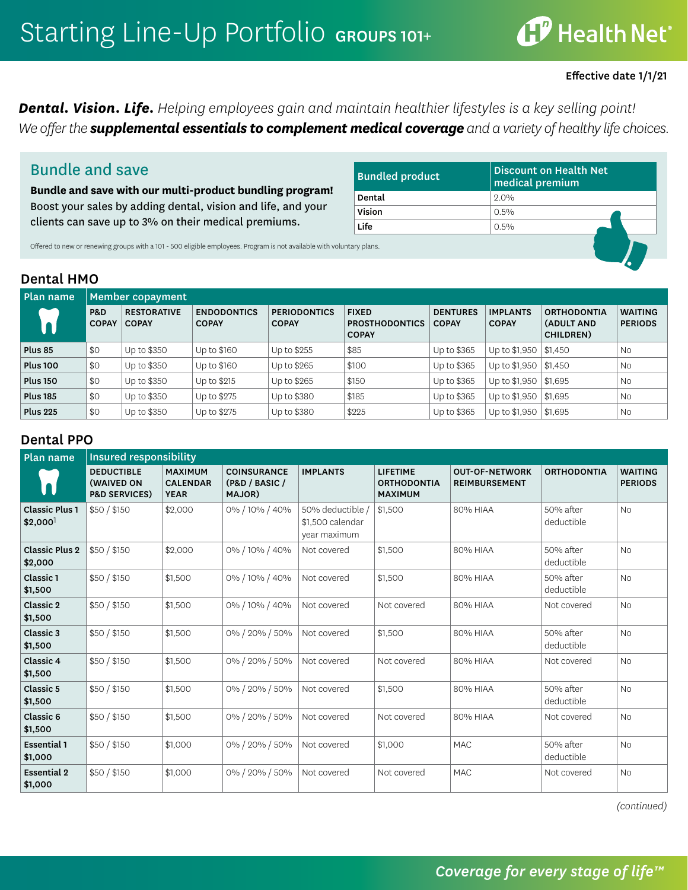## **CP** Health Net®

#### Effective date 1/1/21

*Dental. Vision. Life. Helping employees gain and maintain healthier lifestyles is a key selling point!* We offer the **supplemental essentials to complement medical coverage** and a variety of healthy life choices.

### Bundle and save

**Bundle and save with our multi-product bundling program!**  Boost your sales by adding dental, vision and life, and your clients can save up to 3% on their medical premiums.

| <b>Bundled product</b> | <b>Discount on Health Net</b><br>medical premium |
|------------------------|--------------------------------------------------|
| Dental                 | 20%                                              |
| Vision                 | $0.5\%$                                          |
| Life                   | $0.5\%$                                          |
| tary plans.            |                                                  |

Offered to new or renewing groups with a 101 - 500 eligible employees. Program is not available with volunt

### Dental HMO

| Plan name       | Member copayment               |                                    |                                    |                                     |                                                       |                                 |                                 |                                               |                                  |  |
|-----------------|--------------------------------|------------------------------------|------------------------------------|-------------------------------------|-------------------------------------------------------|---------------------------------|---------------------------------|-----------------------------------------------|----------------------------------|--|
|                 | <b>P&amp;D</b><br><b>COPAY</b> | <b>RESTORATIVE</b><br><b>COPAY</b> | <b>ENDODONTICS</b><br><b>COPAY</b> | <b>PERIODONTICS</b><br><b>COPAY</b> | <b>FIXED</b><br><b>PROSTHODONTICS</b><br><b>COPAY</b> | <b>DENTURES</b><br><b>COPAY</b> | <b>IMPLANTS</b><br><b>COPAY</b> | <b>ORTHODONTIA</b><br>(ADULT AND<br>CHILDREN) | <b>WAITING</b><br><b>PERIODS</b> |  |
| Plus 85         | \$0                            | Up to \$350                        | Up to \$160                        | Up to \$255                         | \$85                                                  | Up to \$365                     | Up to $$1,950$ $$1,450$         |                                               | <b>No</b>                        |  |
| <b>Plus 100</b> | \$0                            | Up to \$350                        | Up to \$160                        | Up to \$265                         | \$100                                                 | Up to \$365                     | Up to $$1,950$ $$1,450$         |                                               | <b>No</b>                        |  |
| <b>Plus 150</b> | \$0                            | Up to \$350                        | Up to \$215                        | Up to \$265                         | \$150                                                 | Up to \$365                     | Up to $$1,950$ $$1,695$         |                                               | <b>No</b>                        |  |
| <b>Plus 185</b> | \$0                            | Up to \$350                        | Up to \$275                        | Up to \$380                         | \$185                                                 | Up to \$365                     | Up to $$1,950$ $$1,695$         |                                               | <b>No</b>                        |  |
| <b>Plus 225</b> | \$0                            | Up to \$350                        | Up to \$275                        | Up to \$380                         | \$225                                                 | Up to \$365                     | Up to $$1,950$ $$1,695$         |                                               | <b>No</b>                        |  |

### Dental PPO

| Plan name                                      | <b>Insured responsibility</b>                                      |                                                  |                                                |                                                    |                                                         |                                               |                         |                                  |
|------------------------------------------------|--------------------------------------------------------------------|--------------------------------------------------|------------------------------------------------|----------------------------------------------------|---------------------------------------------------------|-----------------------------------------------|-------------------------|----------------------------------|
|                                                | <b>DEDUCTIBLE</b><br><b>(WAIVED ON</b><br><b>P&amp;D SERVICES)</b> | <b>MAXIMUM</b><br><b>CALENDAR</b><br><b>YEAR</b> | <b>COINSURANCE</b><br>(P&D / BASIC /<br>MAJOR) | <b>IMPLANTS</b>                                    | <b>LIFETIME</b><br><b>ORTHODONTIA</b><br><b>MAXIMUM</b> | <b>OUT-OF-NETWORK</b><br><b>REIMBURSEMENT</b> | <b>ORTHODONTIA</b>      | <b>WAITING</b><br><b>PERIODS</b> |
| <b>Classic Plus 1</b><br>$$2,000$ <sup>1</sup> | \$50/\$150                                                         | \$2,000                                          | 0% / 10% / 40%                                 | 50% deductible<br>\$1,500 calendar<br>year maximum | \$1,500                                                 | 80% HIAA                                      | 50% after<br>deductible | <b>No</b>                        |
| <b>Classic Plus 2</b><br>\$2,000               | \$50/\$150                                                         | \$2,000                                          | 0% / 10% / 40%                                 | Not covered                                        | \$1,500                                                 | 80% HIAA                                      | 50% after<br>deductible | <b>No</b>                        |
| Classic 1<br>\$1,500                           | \$50/\$150                                                         | \$1,500                                          | 0% / 10% / 40%                                 | Not covered                                        | \$1,500                                                 | 80% HIAA                                      | 50% after<br>deductible | <b>No</b>                        |
| Classic 2<br>\$1,500                           | \$50/\$150                                                         | \$1,500                                          | 0% / 10% / 40%                                 | Not covered                                        | Not covered                                             | 80% HIAA                                      | Not covered             | <b>No</b>                        |
| Classic 3<br>\$1,500                           | \$50/\$150                                                         | \$1,500                                          | 0% / 20% / 50%                                 | Not covered                                        | \$1,500                                                 | 80% HIAA                                      | 50% after<br>deductible | <b>No</b>                        |
| Classic 4<br>\$1,500                           | \$50/\$150                                                         | \$1,500                                          | 0% / 20% / 50%                                 | Not covered                                        | Not covered                                             | 80% HIAA                                      | Not covered             | <b>No</b>                        |
| Classic 5<br>\$1,500                           | \$50/\$150                                                         | \$1,500                                          | 0% / 20% / 50%                                 | Not covered                                        | \$1,500                                                 | 80% HIAA                                      | 50% after<br>deductible | <b>No</b>                        |
| Classic 6<br>\$1,500                           | \$50/\$150                                                         | \$1,500                                          | 0% / 20% / 50%                                 | Not covered                                        | Not covered                                             | 80% HIAA                                      | Not covered             | <b>No</b>                        |
| <b>Essential 1</b><br>\$1,000                  | \$50/\$150                                                         | \$1,000                                          | 0% / 20% / 50%                                 | Not covered                                        | \$1,000                                                 | <b>MAC</b>                                    | 50% after<br>deductible | <b>No</b>                        |
| <b>Essential 2</b><br>\$1,000                  | \$50/\$150                                                         | \$1,000                                          | 0% / 20% / 50%                                 | Not covered                                        | Not covered                                             | <b>MAC</b>                                    | Not covered             | <b>No</b>                        |

*(continued)*